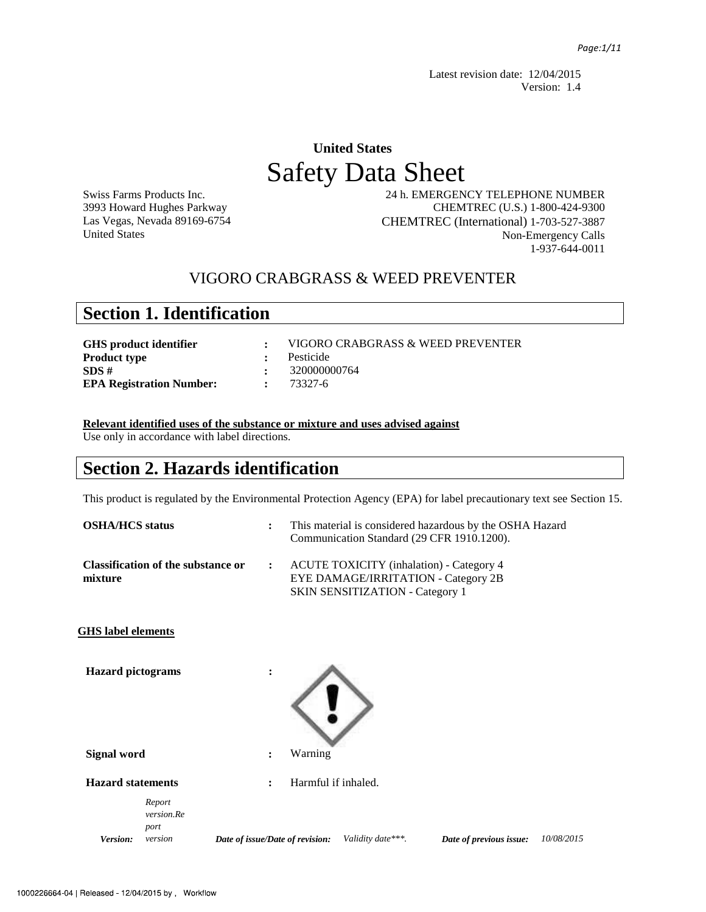Latest revision date: 12/04/2015 Version: 1.4

## **United States**  Safety Data Sheet

Swiss Farms Products Inc. 3993 Howard Hughes Parkway Las Vegas, Nevada 89169-6754 United States

 24 h. EMERGENCY TELEPHONE NUMBER CHEMTREC (U.S.) 1-800-424-9300 CHEMTREC (International) 1-703-527-3887 Non-Emergency Calls 1-937-644-0011

### VIGORO CRABGRASS & WEED PREVENTER

## **Section 1. Identification**

| VIGORO CRABGRASS & WEED PREVENTER |
|-----------------------------------|
| : Pesticide                       |
| $\div$ 320000000764               |
| $: 73327 - 6$                     |
|                                   |

#### **Relevant identified uses of the substance or mixture and uses advised against**

Use only in accordance with label directions.

## **Section 2. Hazards identification**

This product is regulated by the Environmental Protection Agency (EPA) for label precautionary text see Section 15.

| <b>OSHA/HCS</b> status    |                                           | $\ddot{\cdot}$                  |         |                                        | This material is considered hazardous by the OSHA Hazard<br>Communication Standard (29 CFR 1910.1200). |            |
|---------------------------|-------------------------------------------|---------------------------------|---------|----------------------------------------|--------------------------------------------------------------------------------------------------------|------------|
| mixture                   | <b>Classification of the substance or</b> | $\ddot{\phantom{a}}$            |         | <b>SKIN SENSITIZATION - Category 1</b> | <b>ACUTE TOXICITY</b> (inhalation) - Category 4<br>EYE DAMAGE/IRRITATION - Category 2B                 |            |
| <b>GHS</b> label elements |                                           |                                 |         |                                        |                                                                                                        |            |
| <b>Hazard</b> pictograms  |                                           |                                 |         |                                        |                                                                                                        |            |
| <b>Signal word</b>        |                                           | $\ddot{\cdot}$                  | Warning |                                        |                                                                                                        |            |
| <b>Hazard statements</b>  |                                           |                                 |         | Harmful if inhaled.                    |                                                                                                        |            |
| Version:                  | Report<br>version.Re<br>port<br>version   | Date of issue/Date of revision: |         | Validity date***.                      | Date of previous issue:                                                                                | 10/08/2015 |
|                           |                                           |                                 |         |                                        |                                                                                                        |            |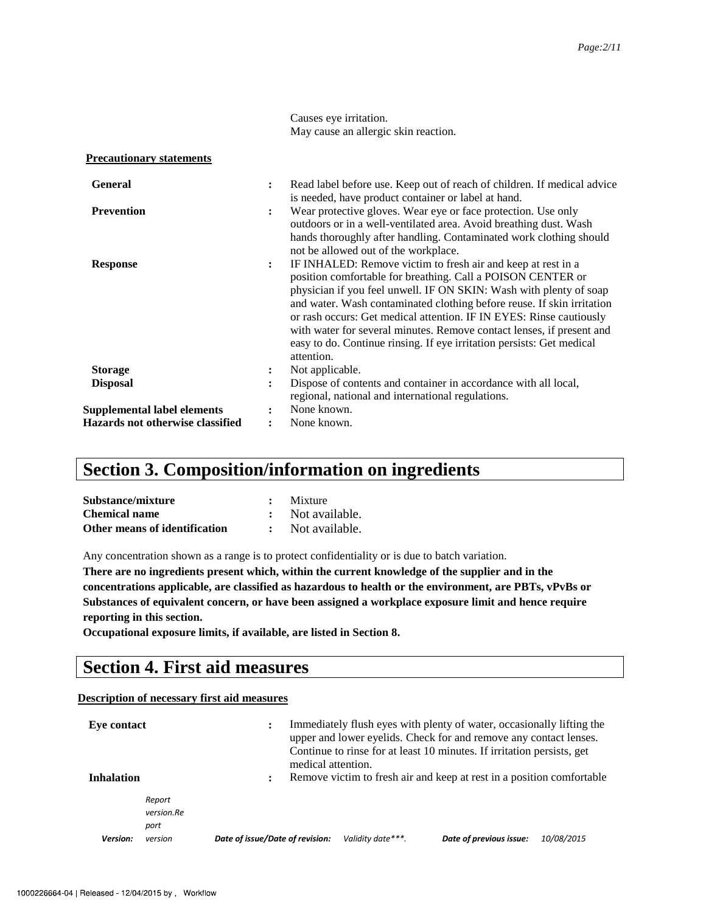Causes eye irritation. May cause an allergic skin reaction.

| <b>Precautionary statements</b> |  |
|---------------------------------|--|
|                                 |  |

| <b>General</b>                     | $\ddot{\cdot}$ | Read label before use. Keep out of reach of children. If medical advice<br>is needed, have product container or label at hand.                                                                                                                                                                                                                                                                                                                                                                                     |
|------------------------------------|----------------|--------------------------------------------------------------------------------------------------------------------------------------------------------------------------------------------------------------------------------------------------------------------------------------------------------------------------------------------------------------------------------------------------------------------------------------------------------------------------------------------------------------------|
| <b>Prevention</b>                  | $\ddot{\cdot}$ | Wear protective gloves. Wear eye or face protection. Use only<br>outdoors or in a well-ventilated area. Avoid breathing dust. Wash<br>hands thoroughly after handling. Contaminated work clothing should<br>not be allowed out of the workplace.                                                                                                                                                                                                                                                                   |
| <b>Response</b>                    | $\ddot{\cdot}$ | IF INHALED: Remove victim to fresh air and keep at rest in a<br>position comfortable for breathing. Call a POISON CENTER or<br>physician if you feel unwell. IF ON SKIN: Wash with plenty of soap<br>and water. Wash contaminated clothing before reuse. If skin irritation<br>or rash occurs: Get medical attention. IF IN EYES: Rinse cautiously<br>with water for several minutes. Remove contact lenses, if present and<br>easy to do. Continue rinsing. If eye irritation persists: Get medical<br>attention. |
| <b>Storage</b>                     | $\ddot{\cdot}$ | Not applicable.                                                                                                                                                                                                                                                                                                                                                                                                                                                                                                    |
| <b>Disposal</b>                    | $\ddot{\cdot}$ | Dispose of contents and container in accordance with all local,<br>regional, national and international regulations.                                                                                                                                                                                                                                                                                                                                                                                               |
| <b>Supplemental label elements</b> |                | None known.                                                                                                                                                                                                                                                                                                                                                                                                                                                                                                        |
| Hazards not otherwise classified   |                | None known.                                                                                                                                                                                                                                                                                                                                                                                                                                                                                                        |

## **Section 3. Composition/information on ingredients**

| Substance/mixture             | Mixture          |
|-------------------------------|------------------|
| <b>Chemical name</b>          | : Not available. |
| Other means of identification | : Not available. |

Any concentration shown as a range is to protect confidentiality or is due to batch variation.

**There are no ingredients present which, within the current knowledge of the supplier and in the concentrations applicable, are classified as hazardous to health or the environment, are PBTs, vPvBs or Substances of equivalent concern, or have been assigned a workplace exposure limit and hence require reporting in this section.** 

**Occupational exposure limits, if available, are listed in Section 8.**

## **Section 4. First aid measures**

#### **Description of necessary first aid measures**

| Eve contact       |                              | medical attention.              |                   | Immediately flush eyes with plenty of water, occasionally lifting the<br>upper and lower eyelids. Check for and remove any contact lenses.<br>Continue to rinse for at least 10 minutes. If irritation persists, get |            |
|-------------------|------------------------------|---------------------------------|-------------------|----------------------------------------------------------------------------------------------------------------------------------------------------------------------------------------------------------------------|------------|
| <b>Inhalation</b> |                              |                                 |                   | Remove victim to fresh air and keep at rest in a position comfortable                                                                                                                                                |            |
|                   | Report<br>version.Re<br>port |                                 |                   |                                                                                                                                                                                                                      |            |
| Version:          | version                      | Date of issue/Date of revision: | Validity date***. | Date of previous issue:                                                                                                                                                                                              | 10/08/2015 |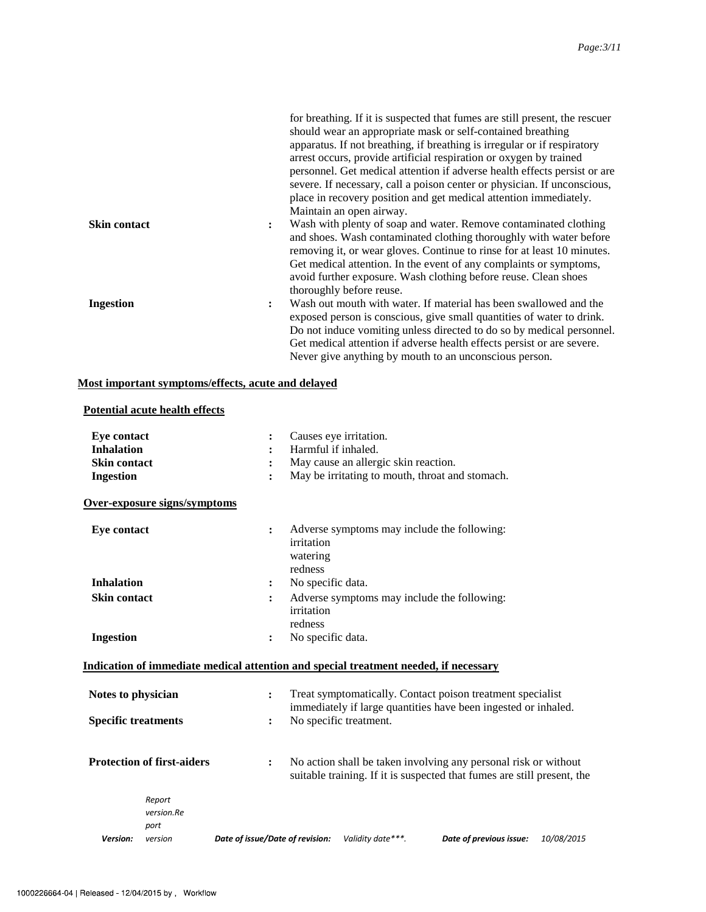|                     | for breathing. If it is suspected that fumes are still present, the rescuer<br>should wear an appropriate mask or self-contained breathing                                                                                                  |
|---------------------|---------------------------------------------------------------------------------------------------------------------------------------------------------------------------------------------------------------------------------------------|
|                     | apparatus. If not breathing, if breathing is irregular or if respiratory<br>arrest occurs, provide artificial respiration or oxygen by trained                                                                                              |
|                     | personnel. Get medical attention if adverse health effects persist or are                                                                                                                                                                   |
|                     | severe. If necessary, call a poison center or physician. If unconscious,<br>place in recovery position and get medical attention immediately.<br>Maintain an open airway.                                                                   |
| <b>Skin contact</b> | Wash with plenty of soap and water. Remove contaminated clothing<br>$\ddot{\cdot}$<br>and shoes. Wash contaminated clothing thoroughly with water before<br>removing it, or wear gloves. Continue to rinse for at least 10 minutes.         |
|                     | Get medical attention. In the event of any complaints or symptoms,<br>avoid further exposure. Wash clothing before reuse. Clean shoes<br>thoroughly before reuse.                                                                           |
| <b>Ingestion</b>    | Wash out mouth with water. If material has been swallowed and the<br>$\ddot{\phantom{a}}$<br>exposed person is conscious, give small quantities of water to drink.<br>Do not induce vomiting unless directed to do so by medical personnel. |
|                     | Get medical attention if adverse health effects persist or are severe.                                                                                                                                                                      |
|                     | Never give anything by mouth to an unconscious person.                                                                                                                                                                                      |

#### **Most important symptoms/effects, acute and delayed**

#### **Potential acute health effects**

| <b>Eye contact</b>         |                                   |                                 |                                   | Causes eye irritation.                                                               |                                                                                                                                            |            |
|----------------------------|-----------------------------------|---------------------------------|-----------------------------------|--------------------------------------------------------------------------------------|--------------------------------------------------------------------------------------------------------------------------------------------|------------|
| <b>Inhalation</b>          |                                   |                                 | Harmful if inhaled.               |                                                                                      |                                                                                                                                            |            |
| <b>Skin contact</b>        |                                   |                                 |                                   | May cause an allergic skin reaction.                                                 |                                                                                                                                            |            |
| <b>Ingestion</b>           |                                   | $\ddot{\cdot}$                  |                                   | May be irritating to mouth, throat and stomach.                                      |                                                                                                                                            |            |
|                            | Over-exposure signs/symptoms      |                                 |                                   |                                                                                      |                                                                                                                                            |            |
| <b>Eye contact</b>         |                                   | $\ddot{\cdot}$                  | irritation<br>watering<br>redness | Adverse symptoms may include the following:                                          |                                                                                                                                            |            |
| <b>Inhalation</b>          |                                   | $\ddot{\cdot}$                  | No specific data.                 |                                                                                      |                                                                                                                                            |            |
| <b>Skin contact</b>        |                                   | $\ddot{\cdot}$                  | irritation<br>redness             | Adverse symptoms may include the following:                                          |                                                                                                                                            |            |
| <b>Ingestion</b>           |                                   | $\ddot{\cdot}$                  | No specific data.                 |                                                                                      |                                                                                                                                            |            |
|                            |                                   |                                 |                                   | Indication of immediate medical attention and special treatment needed, if necessary |                                                                                                                                            |            |
| Notes to physician         |                                   | $\ddot{\cdot}$                  |                                   |                                                                                      | Treat symptomatically. Contact poison treatment specialist<br>immediately if large quantities have been ingested or inhaled.               |            |
| <b>Specific treatments</b> |                                   | ፡                               |                                   | No specific treatment.                                                               |                                                                                                                                            |            |
|                            | <b>Protection of first-aiders</b> | $\ddot{\cdot}$                  |                                   |                                                                                      | No action shall be taken involving any personal risk or without<br>suitable training. If it is suspected that fumes are still present, the |            |
|                            | Report<br>version.Re<br>port      |                                 |                                   |                                                                                      |                                                                                                                                            |            |
| Version:                   | version                           | Date of issue/Date of revision: |                                   | Validity date***.                                                                    | Date of previous issue:                                                                                                                    | 10/08/2015 |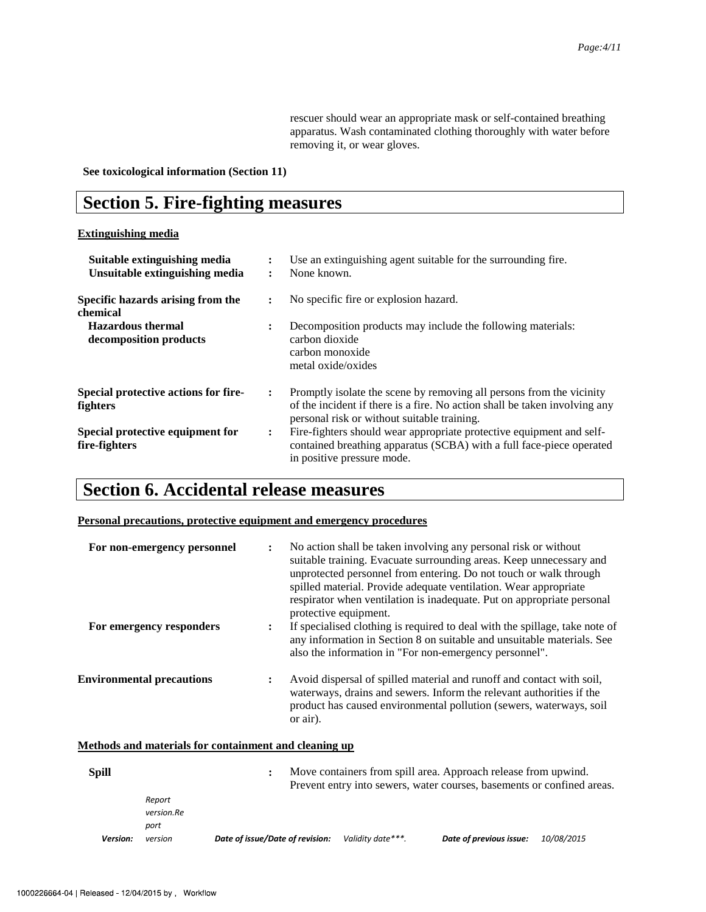rescuer should wear an appropriate mask or self-contained breathing apparatus. Wash contaminated clothing thoroughly with water before removing it, or wear gloves.

**See toxicological information (Section 11)** 

## **Section 5. Fire-fighting measures**

#### **Extinguishing media**

| Suitable extinguishing media<br>Unsuitable extinguishing media | Use an extinguishing agent suitable for the surrounding fire.<br>None known.<br>٠                                                                                                                                   |
|----------------------------------------------------------------|---------------------------------------------------------------------------------------------------------------------------------------------------------------------------------------------------------------------|
| Specific hazards arising from the<br>chemical                  | No specific fire or explosion hazard.<br>$\ddot{\phantom{a}}$                                                                                                                                                       |
| <b>Hazardous thermal</b><br>decomposition products             | Decomposition products may include the following materials:<br>$\ddot{\cdot}$<br>carbon dioxide<br>carbon monoxide<br>metal oxide/oxides                                                                            |
| Special protective actions for fire-<br>fighters               | Promptly isolate the scene by removing all persons from the vicinity<br>$\ddot{\cdot}$<br>of the incident if there is a fire. No action shall be taken involving any<br>personal risk or without suitable training. |
| Special protective equipment for<br>fire-fighters              | Fire-fighters should wear appropriate protective equipment and self-<br>$\ddot{\cdot}$<br>contained breathing apparatus (SCBA) with a full face-piece operated<br>in positive pressure mode.                        |

## **Section 6. Accidental release measures**

#### **Personal precautions, protective equipment and emergency procedures**

| For non-emergency personnel      | $\ddot{\cdot}$       | No action shall be taken involving any personal risk or without<br>suitable training. Evacuate surrounding areas. Keep unnecessary and<br>unprotected personnel from entering. Do not touch or walk through<br>spilled material. Provide adequate ventilation. Wear appropriate<br>respirator when ventilation is inadequate. Put on appropriate personal<br>protective equipment. |
|----------------------------------|----------------------|------------------------------------------------------------------------------------------------------------------------------------------------------------------------------------------------------------------------------------------------------------------------------------------------------------------------------------------------------------------------------------|
| For emergency responders         | $\ddot{\phantom{a}}$ | If specialised clothing is required to deal with the spillage, take note of<br>any information in Section 8 on suitable and unsuitable materials. See<br>also the information in "For non-emergency personnel".                                                                                                                                                                    |
| <b>Environmental precautions</b> | $\ddot{\cdot}$       | Avoid dispersal of spilled material and runoff and contact with soil,<br>waterways, drains and sewers. Inform the relevant authorities if the<br>product has caused environmental pollution (sewers, waterways, soil<br>or air).                                                                                                                                                   |

#### **Methods and materials for containment and cleaning up**

| <b>Spill</b> |                              |                                 |                   | Move containers from spill area. Approach release from upwind.<br>Prevent entry into sewers, water courses, basements or confined areas. |                   |
|--------------|------------------------------|---------------------------------|-------------------|------------------------------------------------------------------------------------------------------------------------------------------|-------------------|
|              | Report<br>version.Re<br>port |                                 |                   |                                                                                                                                          |                   |
| Version:     | version                      | Date of issue/Date of revision: | Validity date***. | Date of previous issue:                                                                                                                  | <i>10/08/2015</i> |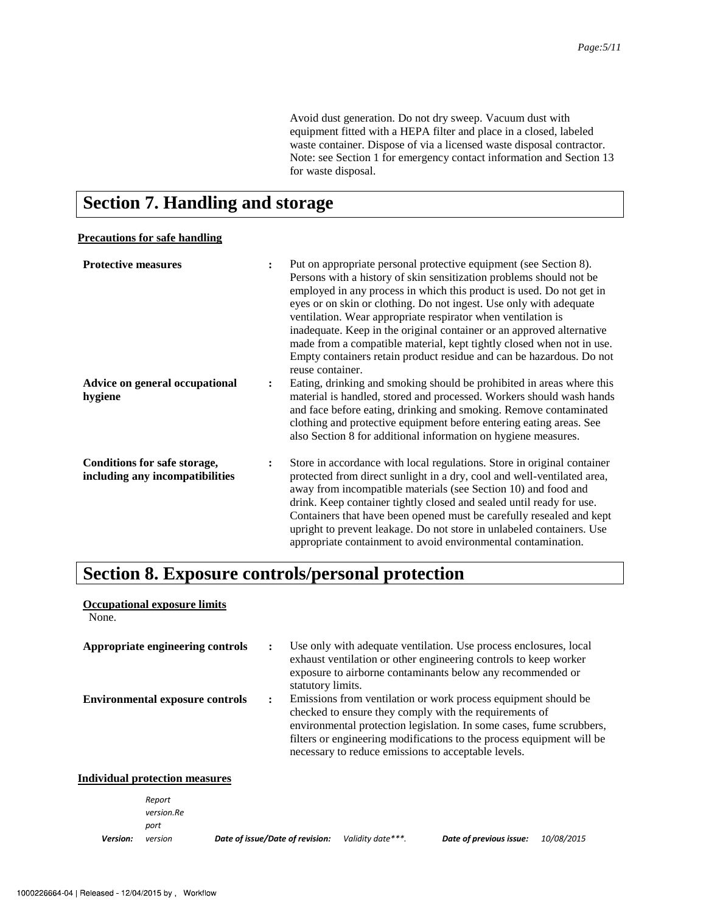Avoid dust generation. Do not dry sweep. Vacuum dust with equipment fitted with a HEPA filter and place in a closed, labeled waste container. Dispose of via a licensed waste disposal contractor. Note: see Section 1 for emergency contact information and Section 13 for waste disposal.

## **Section 7. Handling and storage**

#### **Precautions for safe handling**

| <b>Protective measures</b>                                      | $\ddot{\cdot}$ | Put on appropriate personal protective equipment (see Section 8).<br>Persons with a history of skin sensitization problems should not be<br>employed in any process in which this product is used. Do not get in<br>eyes or on skin or clothing. Do not ingest. Use only with adequate<br>ventilation. Wear appropriate respirator when ventilation is<br>inadequate. Keep in the original container or an approved alternative<br>made from a compatible material, kept tightly closed when not in use.<br>Empty containers retain product residue and can be hazardous. Do not<br>reuse container. |
|-----------------------------------------------------------------|----------------|------------------------------------------------------------------------------------------------------------------------------------------------------------------------------------------------------------------------------------------------------------------------------------------------------------------------------------------------------------------------------------------------------------------------------------------------------------------------------------------------------------------------------------------------------------------------------------------------------|
| Advice on general occupational<br>hygiene                       | $\ddot{\cdot}$ | Eating, drinking and smoking should be prohibited in areas where this<br>material is handled, stored and processed. Workers should wash hands<br>and face before eating, drinking and smoking. Remove contaminated<br>clothing and protective equipment before entering eating areas. See<br>also Section 8 for additional information on hygiene measures.                                                                                                                                                                                                                                          |
| Conditions for safe storage,<br>including any incompatibilities | $\ddot{\cdot}$ | Store in accordance with local regulations. Store in original container<br>protected from direct sunlight in a dry, cool and well-ventilated area,<br>away from incompatible materials (see Section 10) and food and<br>drink. Keep container tightly closed and sealed until ready for use.<br>Containers that have been opened must be carefully resealed and kept<br>upright to prevent leakage. Do not store in unlabeled containers. Use<br>appropriate containment to avoid environmental contamination.                                                                                       |

## **Section 8. Exposure controls/personal protection**

| <b>Occupational exposure limits</b><br>None. |                                                                                                                                                                                                                                                                                                                                                          |
|----------------------------------------------|----------------------------------------------------------------------------------------------------------------------------------------------------------------------------------------------------------------------------------------------------------------------------------------------------------------------------------------------------------|
| Appropriate engineering controls             | Use only with a dequate ventilation. Use process enclosures, local<br>exhaust ventilation or other engineering controls to keep worker<br>exposure to airborne contaminants below any recommended or<br>statutory limits.                                                                                                                                |
| <b>Environmental exposure controls</b>       | Emissions from ventilation or work process equipment should be<br>$\ddot{\phantom{a}}$<br>checked to ensure they comply with the requirements of<br>environmental protection legislation. In some cases, fume scrubbers,<br>filters or engineering modifications to the process equipment will be<br>necessary to reduce emissions to acceptable levels. |
| Individual protection measures               |                                                                                                                                                                                                                                                                                                                                                          |
| Report                                       |                                                                                                                                                                                                                                                                                                                                                          |

|          | version.Re |                                 |                   |                         |                   |
|----------|------------|---------------------------------|-------------------|-------------------------|-------------------|
|          | port       |                                 |                   |                         |                   |
| Version: | version    | Date of issue/Date of revision: | Validity date***. | Date of previous issue: | <i>10/08/2015</i> |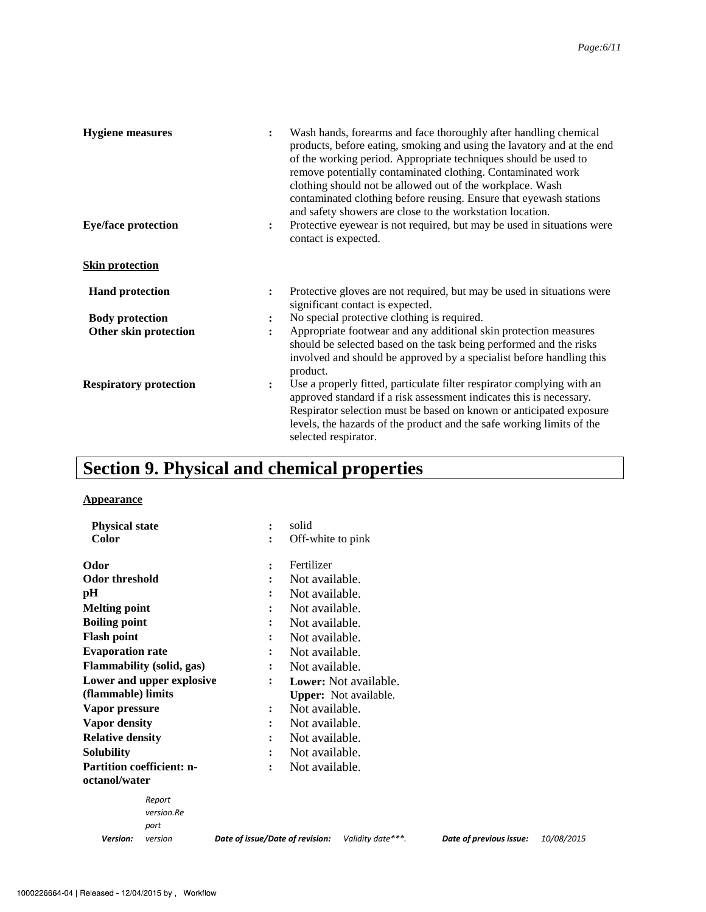| <b>Hygiene</b> measures<br><b>Eye/face protection</b> | Wash hands, forearms and face thoroughly after handling chemical<br>:<br>products, before eating, smoking and using the lavatory and at the end<br>of the working period. Appropriate techniques should be used to<br>remove potentially contaminated clothing. Contaminated work<br>clothing should not be allowed out of the workplace. Wash<br>contaminated clothing before reusing. Ensure that eyewash stations<br>and safety showers are close to the workstation location.<br>Protective eyewear is not required, but may be used in situations were<br>$\ddot{\cdot}$<br>contact is expected. |
|-------------------------------------------------------|-------------------------------------------------------------------------------------------------------------------------------------------------------------------------------------------------------------------------------------------------------------------------------------------------------------------------------------------------------------------------------------------------------------------------------------------------------------------------------------------------------------------------------------------------------------------------------------------------------|
| <b>Skin protection</b>                                |                                                                                                                                                                                                                                                                                                                                                                                                                                                                                                                                                                                                       |
| <b>Hand protection</b>                                | Protective gloves are not required, but may be used in situations were<br>$\ddot{\cdot}$<br>significant contact is expected.                                                                                                                                                                                                                                                                                                                                                                                                                                                                          |
| <b>Body protection</b>                                | No special protective clothing is required.<br>:                                                                                                                                                                                                                                                                                                                                                                                                                                                                                                                                                      |
| Other skin protection                                 | Appropriate footwear and any additional skin protection measures<br>:<br>should be selected based on the task being performed and the risks<br>involved and should be approved by a specialist before handling this<br>product.                                                                                                                                                                                                                                                                                                                                                                       |
| <b>Respiratory protection</b>                         | Use a properly fitted, particulate filter respirator complying with an<br>$\ddot{\cdot}$<br>approved standard if a risk assessment indicates this is necessary.<br>Respirator selection must be based on known or anticipated exposure<br>levels, the hazards of the product and the safe working limits of the<br>selected respirator.                                                                                                                                                                                                                                                               |

## **Section 9. Physical and chemical properties**

#### **Appearance**

| <b>Physical state</b>            | solid<br>$\ddot{\cdot}$                                                         |            |  |  |  |  |
|----------------------------------|---------------------------------------------------------------------------------|------------|--|--|--|--|
| <b>Color</b>                     | Off-white to pink<br>$\ddot{\cdot}$                                             |            |  |  |  |  |
| Odor                             | Fertilizer<br>$\ddot{\phantom{a}}$                                              |            |  |  |  |  |
| Odor threshold                   | Not available.<br>$\ddot{\cdot}$                                                |            |  |  |  |  |
| pН                               | Not available.<br>$\ddot{\phantom{a}}$                                          |            |  |  |  |  |
| <b>Melting point</b>             | Not available.                                                                  |            |  |  |  |  |
| <b>Boiling point</b>             | Not available.<br>:                                                             |            |  |  |  |  |
| <b>Flash point</b>               | Not available.<br>:                                                             |            |  |  |  |  |
| <b>Evaporation rate</b>          | Not available.<br>$\ddot{\cdot}$                                                |            |  |  |  |  |
| <b>Flammability</b> (solid, gas) | Not available.<br>$\ddot{\cdot}$                                                |            |  |  |  |  |
| Lower and upper explosive        | Lower: Not available.<br>$\ddot{\cdot}$                                         |            |  |  |  |  |
| (flammable) limits               | <b>Upper:</b> Not available.                                                    |            |  |  |  |  |
| Vapor pressure                   | Not available.<br>:                                                             |            |  |  |  |  |
| <b>Vapor density</b>             | Not available.<br>$\ddot{\phantom{a}}$                                          |            |  |  |  |  |
| <b>Relative density</b>          | Not available.<br>፡                                                             |            |  |  |  |  |
| <b>Solubility</b>                | Not available.<br>$\ddot{\cdot}$                                                |            |  |  |  |  |
| <b>Partition coefficient: n-</b> | Not available.<br>$\ddot{\cdot}$                                                |            |  |  |  |  |
| octanol/water                    |                                                                                 |            |  |  |  |  |
| Report                           |                                                                                 |            |  |  |  |  |
| version.Re                       |                                                                                 |            |  |  |  |  |
| port                             |                                                                                 |            |  |  |  |  |
| Version:<br>version              | Date of issue/Date of revision:<br>Validity date***.<br>Date of previous issue: | 10/08/2015 |  |  |  |  |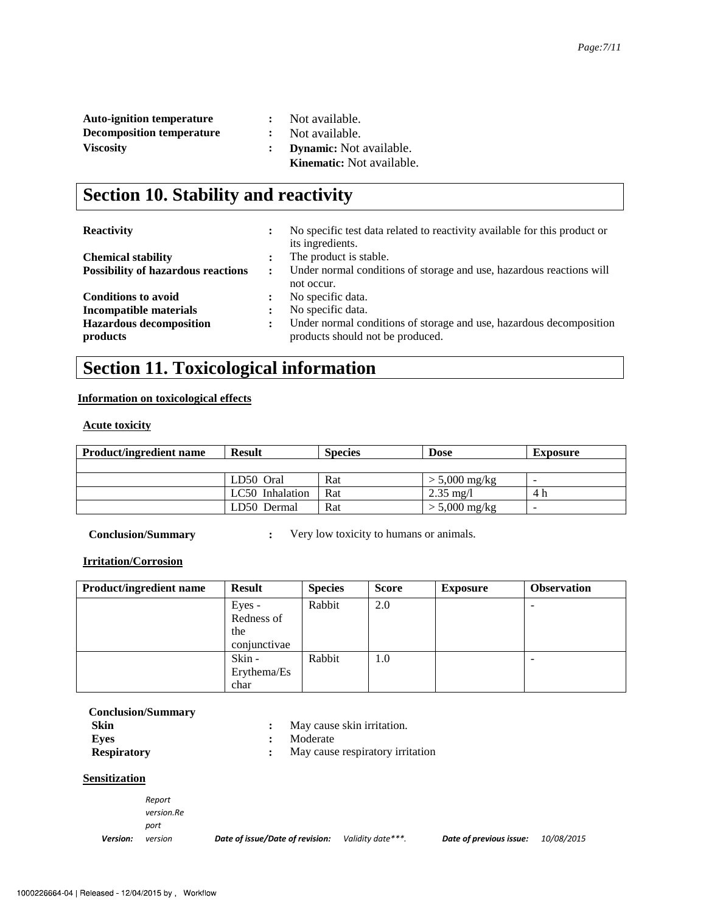| <b>Auto-ignition temperature</b> | $\mathbf{1}$ | Not available.                   |
|----------------------------------|--------------|----------------------------------|
| <b>Decomposition temperature</b> |              | Not available.                   |
| <b>Viscosity</b>                 |              | <b>Dynamic:</b> Not available.   |
|                                  |              | <b>Kinematic:</b> Not available. |

## **Section 10. Stability and reactivity**

| <b>Reactivity</b>                         | ٠                    | No specific test data related to reactivity available for this product or<br>its ingredients. |
|-------------------------------------------|----------------------|-----------------------------------------------------------------------------------------------|
| <b>Chemical stability</b>                 |                      | The product is stable.                                                                        |
| <b>Possibility of hazardous reactions</b> | $\ddot{\phantom{a}}$ | Under normal conditions of storage and use, hazardous reactions will                          |
|                                           |                      | not occur.                                                                                    |
| <b>Conditions to avoid</b>                | :                    | No specific data.                                                                             |
| Incompatible materials                    | ٠                    | No specific data.                                                                             |
| <b>Hazardous decomposition</b>            | ÷                    | Under normal conditions of storage and use, hazardous decomposition                           |
| products                                  |                      | products should not be produced.                                                              |

## **Section 11. Toxicological information**

#### **Information on toxicological effects**

#### **Acute toxicity**

| <b>Product/ingredient name</b> | <b>Result</b>   | <b>Species</b> | <b>Dose</b>         | <b>Exposure</b> |
|--------------------------------|-----------------|----------------|---------------------|-----------------|
|                                |                 |                |                     |                 |
|                                | LD50 Oral       | Rat            | $> 5,000$ mg/kg     | -               |
|                                | LC50 Inhalation | Rat            | $2.35 \text{ mg}/1$ | 4 h             |
|                                | LD50 Dermal     | Rat            | $> 5,000$ mg/kg     | -               |

**Conclusion/Summary : Very low toxicity to humans or animals.** 

#### **Irritation/Corrosion**

| <b>Product/ingredient name</b> | <b>Result</b> | <b>Species</b> | <b>Score</b> | <b>Exposure</b> | <b>Observation</b> |
|--------------------------------|---------------|----------------|--------------|-----------------|--------------------|
|                                | Eyes -        | Rabbit         | 2.0          |                 |                    |
|                                | Redness of    |                |              |                 |                    |
|                                | the           |                |              |                 |                    |
|                                | conjunctivae  |                |              |                 |                    |
|                                | Skin -        | Rabbit         | 1.0          |                 |                    |
|                                | Erythema/Es   |                |              |                 |                    |
|                                | char          |                |              |                 |                    |

| <b>Conclusion/Summary</b><br>Skin |   | May cause skin irritation.<br>Moderate |
|-----------------------------------|---|----------------------------------------|
| Eves                              | : |                                        |
| <b>Respiratory</b>                |   | May cause respiratory irritation       |
| <b>Sensitization</b>              |   |                                        |
|                                   |   |                                        |

 $Report$  $version$ *Re* port

Version: version

*Date of issue/Date of revision:* Validity date<sup>\*\*\*</sup>. Date of previous issue: 10/08/2015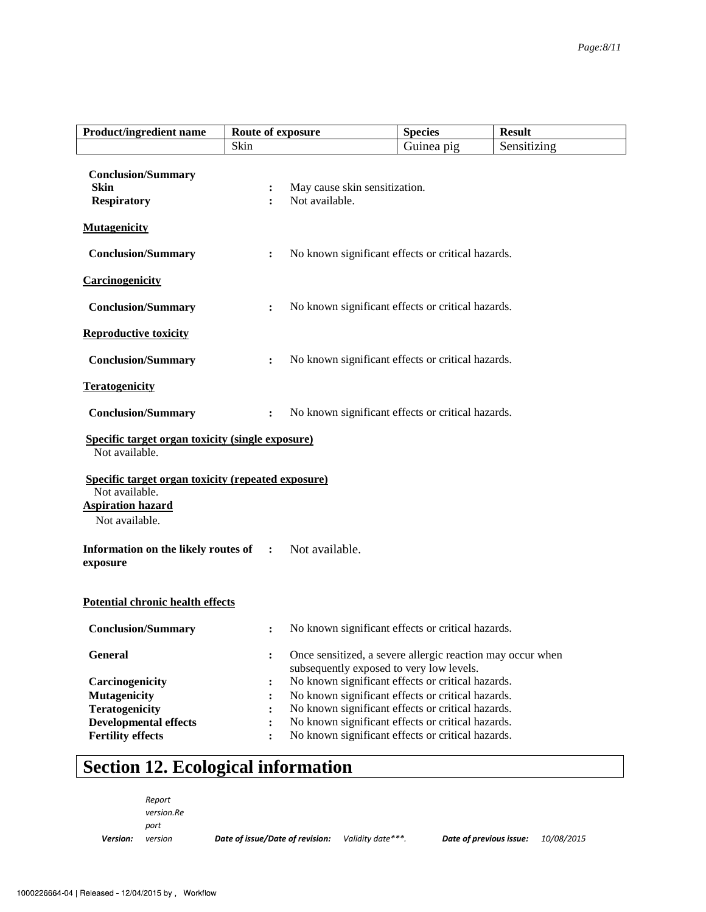| <b>Product/ingredient name</b>                                                                                            | Route of exposure                      |                                                                                                                                                                                                                                                                                                                            | <b>Species</b> | <b>Result</b> |
|---------------------------------------------------------------------------------------------------------------------------|----------------------------------------|----------------------------------------------------------------------------------------------------------------------------------------------------------------------------------------------------------------------------------------------------------------------------------------------------------------------------|----------------|---------------|
|                                                                                                                           | Skin                                   |                                                                                                                                                                                                                                                                                                                            | Guinea pig     | Sensitizing   |
| <b>Conclusion/Summary</b><br>Skin<br><b>Respiratory</b>                                                                   | $\ddot{\cdot}$<br>$\ddot{\phantom{a}}$ | May cause skin sensitization.<br>Not available.                                                                                                                                                                                                                                                                            |                |               |
| <b>Mutagenicity</b>                                                                                                       |                                        |                                                                                                                                                                                                                                                                                                                            |                |               |
| <b>Conclusion/Summary</b>                                                                                                 | $\ddot{\cdot}$                         | No known significant effects or critical hazards.                                                                                                                                                                                                                                                                          |                |               |
| <b>Carcinogenicity</b>                                                                                                    |                                        |                                                                                                                                                                                                                                                                                                                            |                |               |
| <b>Conclusion/Summary</b>                                                                                                 | :                                      | No known significant effects or critical hazards.                                                                                                                                                                                                                                                                          |                |               |
| <b>Reproductive toxicity</b>                                                                                              |                                        |                                                                                                                                                                                                                                                                                                                            |                |               |
| <b>Conclusion/Summary</b>                                                                                                 | :                                      | No known significant effects or critical hazards.                                                                                                                                                                                                                                                                          |                |               |
| <b>Teratogenicity</b>                                                                                                     |                                        |                                                                                                                                                                                                                                                                                                                            |                |               |
| <b>Conclusion/Summary</b>                                                                                                 | $\ddot{\cdot}$                         | No known significant effects or critical hazards.                                                                                                                                                                                                                                                                          |                |               |
| Specific target organ toxicity (single exposure)<br>Not available.                                                        |                                        |                                                                                                                                                                                                                                                                                                                            |                |               |
| <b>Specific target organ toxicity (repeated exposure)</b><br>Not available.<br><b>Aspiration hazard</b><br>Not available. |                                        |                                                                                                                                                                                                                                                                                                                            |                |               |
| Information on the likely routes of<br>exposure                                                                           | $\ddot{\cdot}$                         | Not available.                                                                                                                                                                                                                                                                                                             |                |               |
| <b>Potential chronic health effects</b>                                                                                   |                                        |                                                                                                                                                                                                                                                                                                                            |                |               |
| <b>Conclusion/Summary</b>                                                                                                 | :                                      | No known significant effects or critical hazards.                                                                                                                                                                                                                                                                          |                |               |
| <b>General</b><br>Carcinogenicity<br><b>Mutagenicity</b><br><b>Teratogenicity</b><br><b>Developmental effects</b>         | :<br>$\ddot{\cdot}$                    | Once sensitized, a severe allergic reaction may occur when<br>subsequently exposed to very low levels.<br>No known significant effects or critical hazards.<br>No known significant effects or critical hazards.<br>No known significant effects or critical hazards.<br>No known significant effects or critical hazards. |                |               |
| <b>Fertility effects</b>                                                                                                  | $\ddot{\cdot}$                         | No known significant effects or critical hazards.                                                                                                                                                                                                                                                                          |                |               |

# **Section 12. Ecological information**

|          | Report     |                                 |                   |                         |            |
|----------|------------|---------------------------------|-------------------|-------------------------|------------|
|          | version.Re |                                 |                   |                         |            |
|          | port       |                                 |                   |                         |            |
| Version: | version    | Date of issue/Date of revision: | Validity date***. | Date of previous issue: | 10/08/2015 |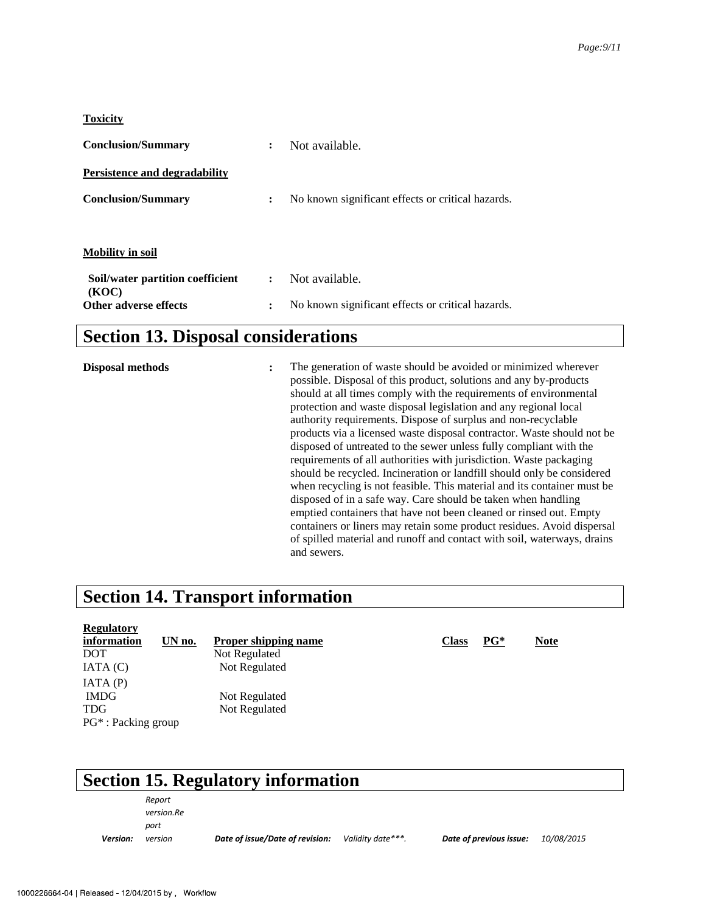#### **Toxicity**

| <b>Conclusion/Summary</b>        | $\ddot{\cdot}$       | Not available.                                    |
|----------------------------------|----------------------|---------------------------------------------------|
| Persistence and degradability    |                      |                                                   |
| <b>Conclusion/Summary</b>        | $\ddot{\phantom{a}}$ | No known significant effects or critical hazards. |
|                                  |                      |                                                   |
| <b>Mobility in soil</b>          |                      |                                                   |
| Soil/water partition coefficient | $\ddot{\cdot}$       | Not available.                                    |
| (KOC)<br>Other adverse effects   | $\ddot{\cdot}$       | No known significant effects or critical hazards. |

## **Section 13. Disposal considerations**

**Disposal methods** : The generation of waste should be avoided or minimized wherever possible. Disposal of this product, solutions and any by-products should at all times comply with the requirements of environmental protection and waste disposal legislation and any regional local authority requirements. Dispose of surplus and non-recyclable products via a licensed waste disposal contractor. Waste should not be disposed of untreated to the sewer unless fully compliant with the requirements of all authorities with jurisdiction. Waste packaging should be recycled. Incineration or landfill should only be considered when recycling is not feasible. This material and its container must be disposed of in a safe way. Care should be taken when handling emptied containers that have not been cleaned or rinsed out. Empty containers or liners may retain some product residues. Avoid dispersal of spilled material and runoff and contact with soil, waterways, drains and sewers.

### **Section 14. Transport information**

| <b>Regulatory</b><br>information<br>UN no.<br><b>DOT</b>     | Proper shipping name<br>Not Regulated | <b>Class</b> | $PG^*$ | <b>Note</b> |
|--------------------------------------------------------------|---------------------------------------|--------------|--------|-------------|
| IATA(C)<br>IATA(P)                                           | Not Regulated                         |              |        |             |
| <b>IMDG</b><br><b>TDG</b><br>PG <sup>*</sup> : Packing group | Not Regulated<br>Not Regulated        |              |        |             |

## **Section 15. Regulatory information**

 $Report$  $version$ *Re* port

*version Date of issue/Date of revision: Validity date\*\*\*. Date of previous issue: 10/08/2015* 

Version: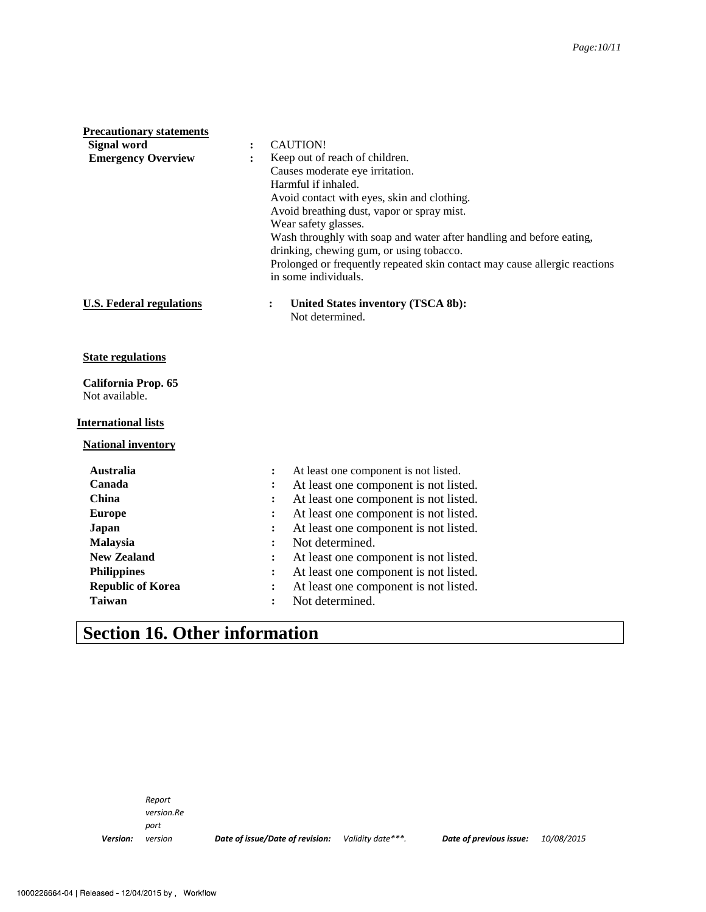| <b>Signal word</b><br><b>CAUTION!</b><br><b>Emergency Overview</b><br>Keep out of reach of children.<br>$\ddot{\cdot}$<br>Causes moderate eye irritation.<br>Harmful if inhaled.<br>Avoid contact with eyes, skin and clothing.<br>Avoid breathing dust, vapor or spray mist.<br>Wear safety glasses. |  |
|-------------------------------------------------------------------------------------------------------------------------------------------------------------------------------------------------------------------------------------------------------------------------------------------------------|--|
|                                                                                                                                                                                                                                                                                                       |  |
|                                                                                                                                                                                                                                                                                                       |  |
|                                                                                                                                                                                                                                                                                                       |  |
|                                                                                                                                                                                                                                                                                                       |  |
|                                                                                                                                                                                                                                                                                                       |  |
|                                                                                                                                                                                                                                                                                                       |  |
|                                                                                                                                                                                                                                                                                                       |  |
| Wash throughly with soap and water after handling and before eating,                                                                                                                                                                                                                                  |  |
| drinking, chewing gum, or using tobacco.                                                                                                                                                                                                                                                              |  |
| Prolonged or frequently repeated skin contact may cause allergic reactions                                                                                                                                                                                                                            |  |
| in some individuals.                                                                                                                                                                                                                                                                                  |  |
| <b>U.S. Federal regulations</b><br>United States inventory (TSCA 8b):<br>$\ddot{\cdot}$                                                                                                                                                                                                               |  |
| Not determined.                                                                                                                                                                                                                                                                                       |  |
|                                                                                                                                                                                                                                                                                                       |  |
| <b>State regulations</b>                                                                                                                                                                                                                                                                              |  |
| California Prop. 65                                                                                                                                                                                                                                                                                   |  |
| Not available.                                                                                                                                                                                                                                                                                        |  |
|                                                                                                                                                                                                                                                                                                       |  |
| <b>International lists</b>                                                                                                                                                                                                                                                                            |  |
| <b>National inventory</b>                                                                                                                                                                                                                                                                             |  |
| <b>Australia</b><br>At least one component is not listed.<br>$\ddot{\cdot}$                                                                                                                                                                                                                           |  |
| Canada<br>At least one component is not listed.<br>:                                                                                                                                                                                                                                                  |  |
| At least one component is not listed.<br>China<br>:                                                                                                                                                                                                                                                   |  |
| At least one component is not listed.<br><b>Europe</b><br>:                                                                                                                                                                                                                                           |  |
| Japan<br>At least one component is not listed.<br>፡                                                                                                                                                                                                                                                   |  |
| Not determined.<br><b>Malaysia</b><br>፡                                                                                                                                                                                                                                                               |  |
| <b>New Zealand</b><br>At least one component is not listed.                                                                                                                                                                                                                                           |  |
| <b>Philippines</b><br>At least one component is not listed.<br>:                                                                                                                                                                                                                                      |  |
| <b>Republic of Korea</b><br>At least one component is not listed.<br>:                                                                                                                                                                                                                                |  |
| <b>Taiwan</b><br>Not determined.<br>$\ddot{\cdot}$                                                                                                                                                                                                                                                    |  |

## **Section 16. Other information**